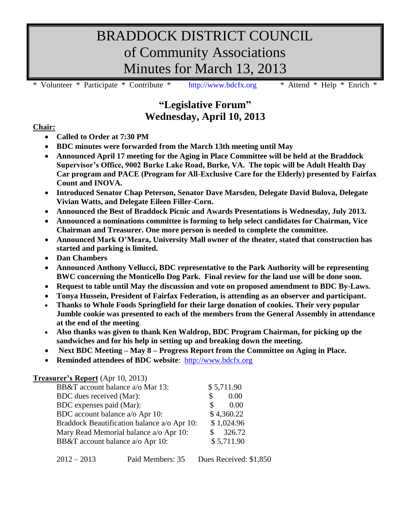# BRADDOCK DISTRICT COUNCIL of Community Associations Minutes for March 13, 2013

\* Volunteer \* Participate \* Contribute \* [http://www.bdcfx.org](http://www.bdcfx.org/) \* Attend \* Help \* Enrich \*

# **"Legislative Forum" Wednesday, April 10, 2013**

### **Chair:**

- **Called to Order at 7:30 PM**
- **BDC minutes were forwarded from the March 13th meeting until May**
- **Announced April 17 meeting for the Aging in Place Committee will be held at the Braddock Supervisor's Office, 9002 Burke Lake Road, Burke, VA. The topic will be Adult Health Day Car program and PACE (Program for All-Exclusive Care for the Elderly) presented by Fairfax Count and INOVA.**
- **Introduced Senator Chap Peterson, Senator Dave Marsden, Delegate David Bulova, Delegate Vivian Watts, and Delegate Eileen Filler-Corn.**
- **Announced the Best of Braddock Picnic and Awards Presentations is Wednesday, July 2013.**
- **Announced a nominations committee is forming to help select candidates for Chairman, Vice Chairman and Treasurer. One more person is needed to complete the committee.**
- **Announced Mark O'Meara, University Mall owner of the theater, stated that construction has started and parking is limited.**
- **Dan Chambers**
- **Announced Anthony Vellucci, BDC representative to the Park Authority will be representing BWC concerning the Monticello Dog Park. Final review for the land use will be done soon.**
- **Request to table until May the discussion and vote on proposed amendment to BDC By-Laws.**
- **Tonya Hussein, President of Fairfax Federation, is attending as an observer and participant.**
- **Thanks to Whole Foods Springfield for their large donation of cookies. Their very popular Jumble cookie was presented to each of the members from the General Assembly in attendance at the end of the meeting**.
- **Also thanks was given to thank Ken Waldrop, BDC Program Chairman, for picking up the sandwiches and for his help in setting up and breaking down the meeting.**
- **Next BDC Meeting – May 8 – Progress Report from the Committee on Aging in Place.**
- **Reminded attendees of BDC website**: [http://www.bdcfx.org](http://www.bdcfx.org/)

#### **Treasurer's Report** (Apr 10, 2013)

| \$5,711.90 |
|------------|
| 0.00<br>\$ |
| 0.00<br>S. |
| \$4,360.22 |
| \$1,024.96 |
| \$326.72   |
| \$5,711.90 |
|            |

| $2012 - 2013$ | Paid Members: 35 | Dues Received: \$1,850 |
|---------------|------------------|------------------------|
|---------------|------------------|------------------------|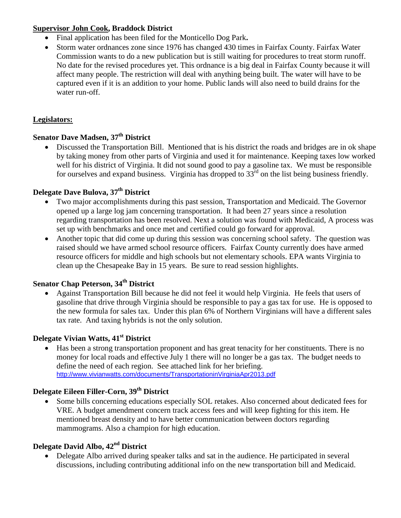#### **Supervisor John Cook, Braddock District**

- Final application has been filed for the Monticello Dog Park**.**
- Storm water ordnances zone since 1976 has changed 430 times in Fairfax County. Fairfax Water Commission wants to do a new publication but is still waiting for procedures to treat storm runoff. No date for the revised procedures yet. This ordnance is a big deal in Fairfax County because it will affect many people. The restriction will deal with anything being built. The water will have to be captured even if it is an addition to your home. Public lands will also need to build drains for the water run-off.

### **Legislators:**

# **Senator Dave Madsen, 37th District**

 Discussed the Transportation Bill. Mentioned that is his district the roads and bridges are in ok shape by taking money from other parts of Virginia and used it for maintenance. Keeping taxes low worked well for his district of Virginia. It did not sound good to pay a gasoline tax. We must be responsible for ourselves and expand business. Virginia has dropped to  $33<sup>rd</sup>$  on the list being business friendly.

## **Delegate Dave Bulova, 37th District**

- Two major accomplishments during this past session, Transportation and Medicaid. The Governor opened up a large log jam concerning transportation. It had been 27 years since a resolution regarding transportation has been resolved. Next a solution was found with Medicaid, A process was set up with benchmarks and once met and certified could go forward for approval.
- Another topic that did come up during this session was concerning school safety. The question was raised should we have armed school resource officers. Fairfax County currently does have armed resource officers for middle and high schools but not elementary schools. EPA wants Virginia to clean up the Chesapeake Bay in 15 years. Be sure to read session highlights.

# **Senator Chap Peterson, 34th District**

 Against Transportation Bill because he did not feel it would help Virginia. He feels that users of gasoline that drive through Virginia should be responsible to pay a gas tax for use. He is opposed to the new formula for sales tax. Under this plan 6% of Northern Virginians will have a different sales tax rate. And taxing hybrids is not the only solution.

# **Delegate Vivian Watts, 41st District**

• Has been a strong transportation proponent and has great tenacity for her constituents. There is no money for local roads and effective July 1 there will no longer be a gas tax. The budget needs to define the need of each region. See attached link for her briefing. <http://www.vivianwatts.com/documents/TransportationinVirginiaApr2013.pdf>

# **Delegate Eileen Filler-Corn, 39th District**

 Some bills concerning educations especially SOL retakes. Also concerned about dedicated fees for VRE. A budget amendment concern track access fees and will keep fighting for this item. He mentioned breast density and to have better communication between doctors regarding mammograms. Also a champion for high education.

## **Delegate David Albo, 42nd District**

• Delegate Albo arrived during speaker talks and sat in the audience. He participated in several discussions, including contributing additional info on the new transportation bill and Medicaid.